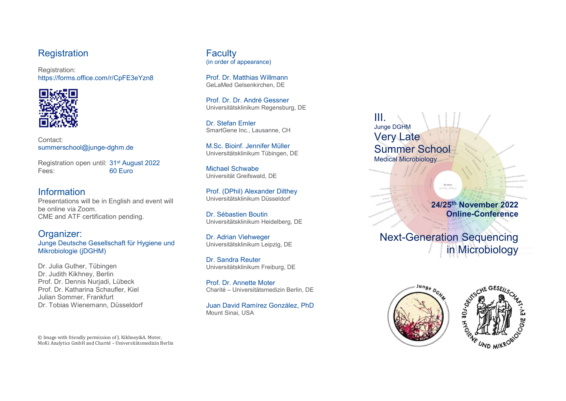### **Registration**

Registration: https://forms.office.com/r/CpFE3eYzn8



Contact: summerschool@junge-dghm.de

Registration open until: 31st August 2022 Fees: 60 Euro

# Information

Presentations will be in English and event will be online via Zoom. CME and ATF certification pending.

#### Organizer: Junge Deutsche Gesellschaft für Hygiene und Mikrobiologie (jDGHM)

Dr. Julia Guther, Tübingen Dr. Judith Kikhney, Berlin Prof. Dr. Dennis Nurjadi, Lübeck Prof. Dr. Katharina Schaufler, Kiel Julian Sommer, Frankfurt Dr. Tobias Wienemann, Düsseldorf

© Image with friendly permission of J. Kikhney&A. Moter, MoKi Analytics GmbH and Charité – Universitätsmedizin Berlin **Faculty** (in order of appearance)

Prof. Dr. Matthias Willmann GeLaMed Gelsenkirchen, DE

Prof. Dr. Dr. André Gessner Universitätsklinikum Regensburg, DE

Dr. Stefan Emler SmartGene Inc., Lausanne, CH

M.Sc. Bioinf. Jennifer Müller Universitätsklinikum Tübingen, DE

Michael Schwabe Universität Greifswald, DE

Prof. (DPhil) Alexander Dilthey Universitätsklinikum Düsseldorf

Dr. Sébastien Boutin Universitätsklinikum Heidelberg, DE

Dr. Adrian Viehweger Universitätsklinikum Leipzig, DE

Dr. Sandra Reuter Universitätsklinikum Freiburg, DE

Prof. Dr. Annette Moter Charité – Universitätsmedizin Berlin, DE

Juan David Ramírez González, PhD Mount Sinai, USA

III. Junge DGHM Very Late Summer School Medical Microbiology

> 24/25th November 2022 Online-Conference

Next-Generation Sequencing in Microbiology

Bacteria